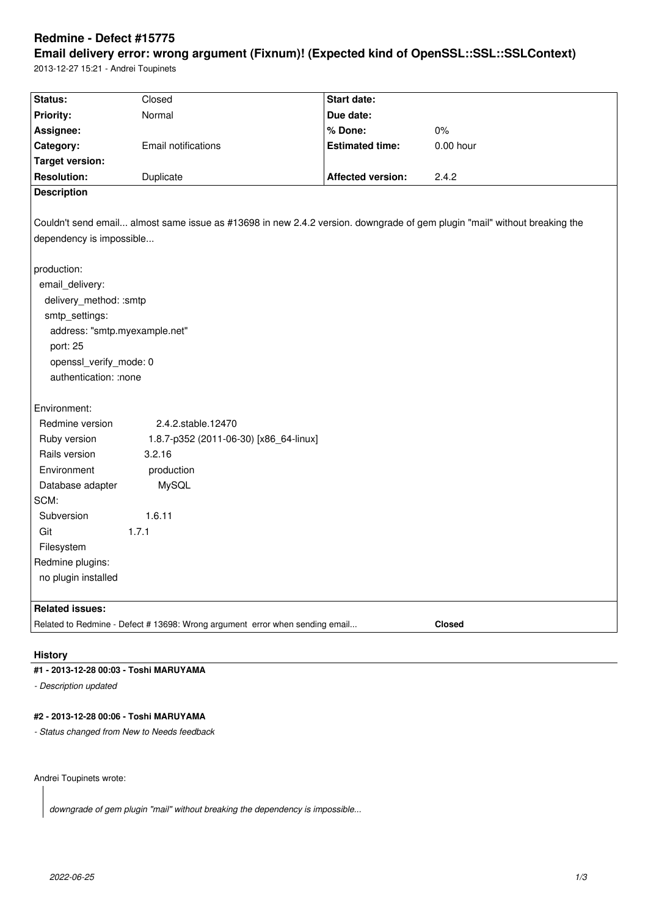# **Redmine - Defect #15775**

**Email delivery error: wrong argument (Fixnum)! (Expected kind of OpenSSL::SSL::SSLContext)** 2013-12-27 15:21 - Andrei Toupinets

| Status:                                                                                                                   | Closed                                 | <b>Start date:</b>       |             |
|---------------------------------------------------------------------------------------------------------------------------|----------------------------------------|--------------------------|-------------|
| Priority:                                                                                                                 | Normal                                 | Due date:                |             |
| Assignee:                                                                                                                 |                                        | % Done:                  | 0%          |
| Category:                                                                                                                 | <b>Email notifications</b>             | <b>Estimated time:</b>   | $0.00$ hour |
| <b>Target version:</b>                                                                                                    |                                        |                          |             |
| <b>Resolution:</b>                                                                                                        | Duplicate                              | <b>Affected version:</b> | 2.4.2       |
| <b>Description</b>                                                                                                        |                                        |                          |             |
|                                                                                                                           |                                        |                          |             |
| Couldn't send email almost same issue as #13698 in new 2.4.2 version. downgrade of gem plugin "mail" without breaking the |                                        |                          |             |
| dependency is impossible                                                                                                  |                                        |                          |             |
|                                                                                                                           |                                        |                          |             |
| production:                                                                                                               |                                        |                          |             |
| email_delivery:                                                                                                           |                                        |                          |             |
| delivery_method: :smtp                                                                                                    |                                        |                          |             |
| smtp_settings:                                                                                                            |                                        |                          |             |
| address: "smtp.myexample.net"                                                                                             |                                        |                          |             |
| port: 25                                                                                                                  |                                        |                          |             |
| openssl_verify_mode: 0                                                                                                    |                                        |                          |             |
| authentication: :none                                                                                                     |                                        |                          |             |
|                                                                                                                           |                                        |                          |             |
| Environment:                                                                                                              |                                        |                          |             |
| Redmine version                                                                                                           | 2.4.2.stable.12470                     |                          |             |
| Ruby version                                                                                                              | 1.8.7-p352 (2011-06-30) [x86_64-linux] |                          |             |
| Rails version                                                                                                             | 3.2.16                                 |                          |             |
| Environment                                                                                                               | production                             |                          |             |
| Database adapter                                                                                                          | <b>MySQL</b>                           |                          |             |
| SCM:                                                                                                                      |                                        |                          |             |
| Subversion                                                                                                                | 1.6.11                                 |                          |             |
| Git                                                                                                                       | 1.7.1                                  |                          |             |
| Filesystem                                                                                                                |                                        |                          |             |
| Redmine plugins:                                                                                                          |                                        |                          |             |
| no plugin installed                                                                                                       |                                        |                          |             |
|                                                                                                                           |                                        |                          |             |
| <b>Related issues:</b>                                                                                                    |                                        |                          |             |
| <b>Closed</b><br>Related to Redmine - Defect # 13698: Wrong argument error when sending email                             |                                        |                          |             |
|                                                                                                                           |                                        |                          |             |

## **History**

# **#1 - 2013-12-28 00:03 - Toshi MARUYAMA**

*- Description updated*

### **#2 - 2013-12-28 00:06 - Toshi MARUYAMA**

*- Status changed from New to Needs feedback*

Andrei Toupinets wrote:

*downgrade of gem plugin "mail" without breaking the dependency is impossible...*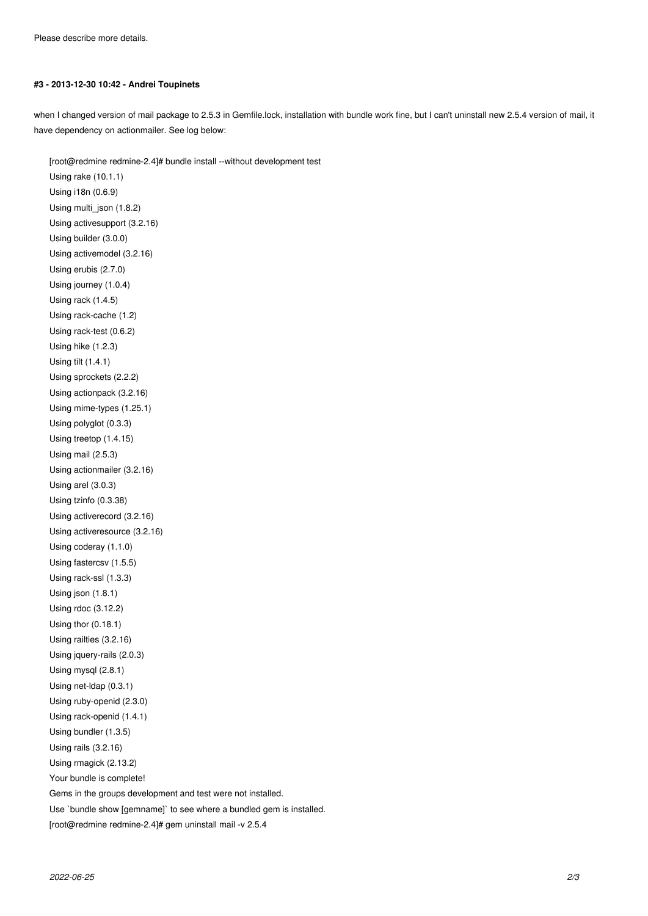#### **#3 - 2013-12-30 10:42 - Andrei Toupinets**

when I changed version of mail package to 2.5.3 in Gemfile.lock, installation with bundle work fine, but I can't uninstall new 2.5.4 version of mail, it have dependency on actionmailer. See log below:

[root@redmine redmine-2.4]# bundle install --without development test Using rake (10.1.1) Using i18n (0.6.9) Using multi\_json (1.8.2) Using activesupport (3.2.16) Using builder (3.0.0) Using activemodel (3.2.16) Using erubis (2.7.0) Using journey (1.0.4) Using rack (1.4.5) Using rack-cache (1.2) Using rack-test (0.6.2) Using hike (1.2.3) Using tilt (1.4.1) Using sprockets (2.2.2) Using actionpack (3.2.16) Using mime-types (1.25.1) Using polyglot (0.3.3) Using treetop (1.4.15) Using mail (2.5.3) Using actionmailer (3.2.16) Using arel (3.0.3) Using tzinfo (0.3.38) Using activerecord (3.2.16) Using activeresource (3.2.16) Using coderay (1.1.0) Using fastercsv (1.5.5) Using rack-ssl (1.3.3) Using json (1.8.1) Using rdoc (3.12.2) Using thor (0.18.1) Using railties (3.2.16) Using jquery-rails (2.0.3) Using mysql (2.8.1) Using net-ldap (0.3.1) Using ruby-openid (2.3.0) Using rack-openid (1.4.1) Using bundler (1.3.5) Using rails (3.2.16) Using rmagick (2.13.2) Your bundle is complete! Gems in the groups development and test were not installed. Use `bundle show [gemname]` to see where a bundled gem is installed. [root@redmine redmine-2.4]# gem uninstall mail -v 2.5.4